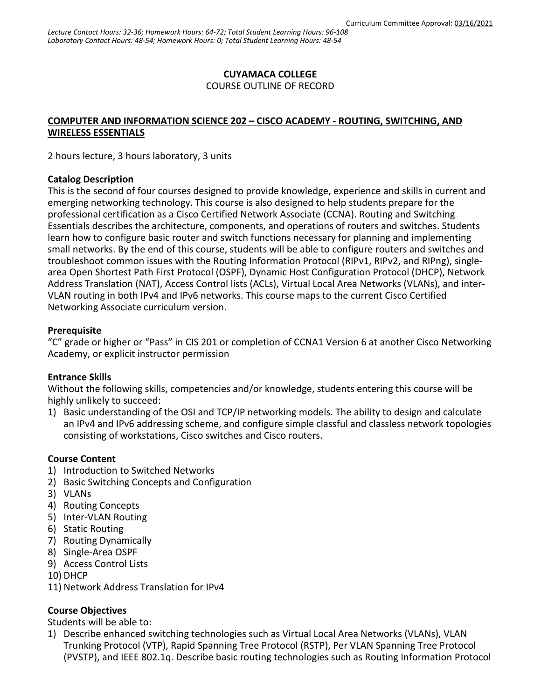## **CUYAMACA COLLEGE**

COURSE OUTLINE OF RECORD

### **COMPUTER AND INFORMATION SCIENCE 202 – CISCO ACADEMY - ROUTING, SWITCHING, AND WIRELESS ESSENTIALS**

2 hours lecture, 3 hours laboratory, 3 units

#### **Catalog Description**

This is the second of four courses designed to provide knowledge, experience and skills in current and emerging networking technology. This course is also designed to help students prepare for the professional certification as a Cisco Certified Network Associate (CCNA). Routing and Switching Essentials describes the architecture, components, and operations of routers and switches. Students learn how to configure basic router and switch functions necessary for planning and implementing small networks. By the end of this course, students will be able to configure routers and switches and troubleshoot common issues with the Routing Information Protocol (RIPv1, RIPv2, and RIPng), singlearea Open Shortest Path First Protocol (OSPF), Dynamic Host Configuration Protocol (DHCP), Network Address Translation (NAT), Access Control lists (ACLs), Virtual Local Area Networks (VLANs), and inter-VLAN routing in both IPv4 and IPv6 networks. This course maps to the current Cisco Certified Networking Associate curriculum version.

### **Prerequisite**

"C" grade or higher or "Pass" in CIS 201 or completion of CCNA1 Version 6 at another Cisco Networking Academy, or explicit instructor permission

### **Entrance Skills**

Without the following skills, competencies and/or knowledge, students entering this course will be highly unlikely to succeed:

1) Basic understanding of the OSI and TCP/IP networking models. The ability to design and calculate an IPv4 and IPv6 addressing scheme, and configure simple classful and classless network topologies consisting of workstations, Cisco switches and Cisco routers.

### **Course Content**

- 1) Introduction to Switched Networks
- 2) Basic Switching Concepts and Configuration
- 3) VLANs
- 4) Routing Concepts
- 5) Inter-VLAN Routing
- 6) Static Routing
- 7) Routing Dynamically
- 8) Single-Area OSPF
- 9) Access Control Lists
- 10) DHCP
- 11) Network Address Translation for IPv4

### **Course Objectives**

Students will be able to:

1) Describe enhanced switching technologies such as Virtual Local Area Networks (VLANs), VLAN Trunking Protocol (VTP), Rapid Spanning Tree Protocol (RSTP), Per VLAN Spanning Tree Protocol (PVSTP), and IEEE 802.1q. Describe basic routing technologies such as Routing Information Protocol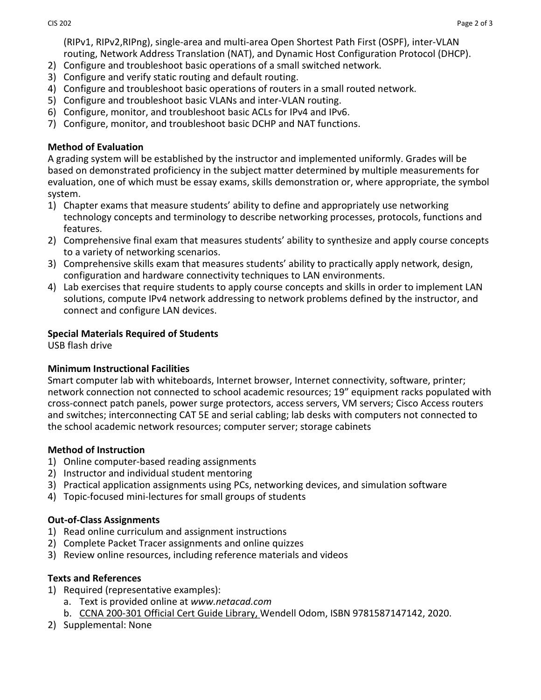(RIPv1, RIPv2,RIPng), single-area and multi-area Open Shortest Path First (OSPF), inter-VLAN routing, Network Address Translation (NAT), and Dynamic Host Configuration Protocol (DHCP).

- 2) Configure and troubleshoot basic operations of a small switched network.
- 3) Configure and verify static routing and default routing.
- 4) Configure and troubleshoot basic operations of routers in a small routed network.
- 5) Configure and troubleshoot basic VLANs and inter-VLAN routing.
- 6) Configure, monitor, and troubleshoot basic ACLs for IPv4 and IPv6.
- 7) Configure, monitor, and troubleshoot basic DCHP and NAT functions.

### **Method of Evaluation**

A grading system will be established by the instructor and implemented uniformly. Grades will be based on demonstrated proficiency in the subject matter determined by multiple measurements for evaluation, one of which must be essay exams, skills demonstration or, where appropriate, the symbol system.

- 1) Chapter exams that measure students' ability to define and appropriately use networking technology concepts and terminology to describe networking processes, protocols, functions and features.
- 2) Comprehensive final exam that measures students' ability to synthesize and apply course concepts to a variety of networking scenarios.
- 3) Comprehensive skills exam that measures students' ability to practically apply network, design, configuration and hardware connectivity techniques to LAN environments.
- 4) Lab exercises that require students to apply course concepts and skills in order to implement LAN solutions, compute IPv4 network addressing to network problems defined by the instructor, and connect and configure LAN devices.

# **Special Materials Required of Students**

USB flash drive

## **Minimum Instructional Facilities**

Smart computer lab with whiteboards, Internet browser, Internet connectivity, software, printer; network connection not connected to school academic resources; 19" equipment racks populated with cross-connect patch panels, power surge protectors, access servers, VM servers; Cisco Access routers and switches; interconnecting CAT 5E and serial cabling; lab desks with computers not connected to the school academic network resources; computer server; storage cabinets

## **Method of Instruction**

- 1) Online computer-based reading assignments
- 2) Instructor and individual student mentoring
- 3) Practical application assignments using PCs, networking devices, and simulation software
- 4) Topic-focused mini-lectures for small groups of students

## **Out-of-Class Assignments**

- 1) Read online curriculum and assignment instructions
- 2) Complete Packet Tracer assignments and online quizzes
- 3) Review online resources, including reference materials and videos

## **Texts and References**

- 1) Required (representative examples):
	- a. Text is provided online at *www.netacad.com*
	- b. [CCNA 200-301 Official Cert Guide Library,](https://www.ciscopress.com/store/ccna-200-301-official-cert-guide-library-9781587147142) Wendell Odom, ISBN 9781587147142, 2020.
- 2) Supplemental: None